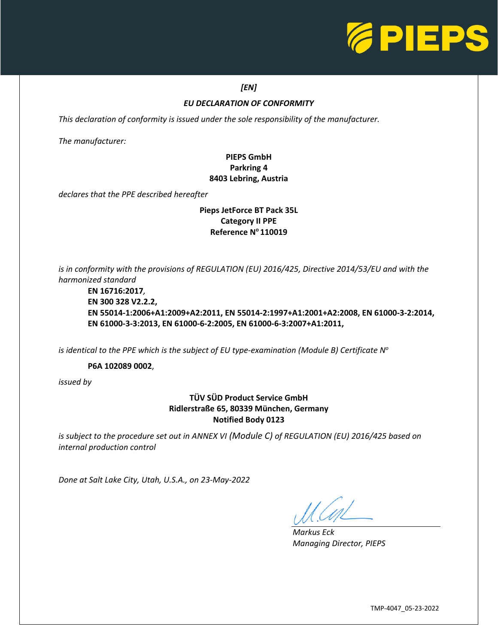

### *[EN]*

### *EU DECLARATION OF CONFORMITY*

*This declaration of conformity is issued under the sole responsibility of the manufacturer.* 

*The manufacturer:*

## **PIEPS GmbH Parkring 4 8403 Lebring, Austria**

*declares that the PPE described hereafter*

### **Pieps JetForce BT Pack 35L Category II PPE Reference N<sup>o</sup>110019**

*is in conformity with the provisions of REGULATION (EU) 2016/425, Directive 2014/53/EU and with the harmonized standard*

**EN 16716:2017***,* **EN 300 328 V2.2.2, EN 55014-1:2006+A1:2009+A2:2011, EN 55014-2:1997+A1:2001+A2:2008, EN 61000-3-2:2014, EN 61000-3-3:2013, EN 61000-6-2:2005, EN 61000-6-3:2007+A1:2011,**

*is identical to the PPE which is the subject of EU type-examination (Module B) Certificate N o*

**P6A 102089 0002**,

*issued by*

### **TÜV SÜD Product Service GmbH Ridlerstraße 65, 80339 München, Germany Notified Body 0123**

*is subject to the procedure set out in ANNEX VI (Module C) of REGULATION (EU) 2016/425 based on internal production control*

*Done at Salt Lake City, Utah, U.S.A., on 23-May-2022*

L

*Markus Eck Managing Director, PIEPS*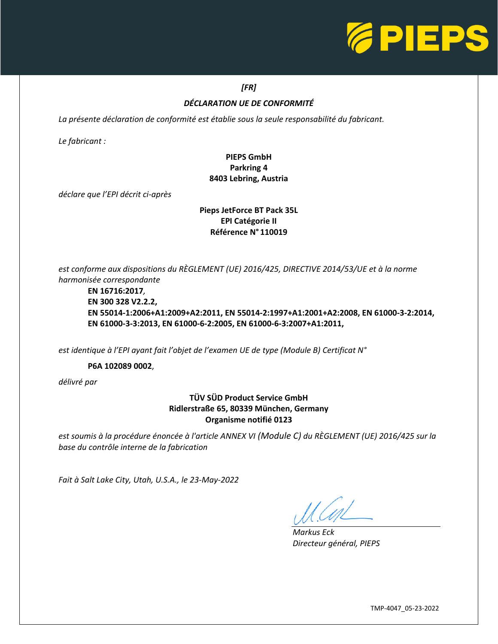

## *[FR]*

## *DÉCLARATION UE DE CONFORMITÉ*

La présente déclaration de conformité est établie sous la seule responsabilité du fabricant.

*Le fabricant :*

## **PIEPS GmbH Parkring 4 8403 Lebring, Austria**

*déclare que l'EPI décrit ci-après*

### **Pieps JetForce BT Pack 35L EPI Catégorie II Référence N° 110019**

*est conforme aux dispositions du RÈGLEMENT (UE) 2016/425, DIRECTIVE 2014/53/UE et à la norme harmonisée correspondante*

**EN 16716:2017***,* **EN 300 328 V2.2.2, EN 55014-1:2006+A1:2009+A2:2011, EN 55014-2:1997+A1:2001+A2:2008, EN 61000-3-2:2014, EN 61000-3-3:2013, EN 61000-6-2:2005, EN 61000-6-3:2007+A1:2011,**

*est identique à l'EPI ayant fait l'objet de l'examen UE de type (Module B) Certificat N°*

**P6A 102089 0002**,

*délivré par*

## **TÜV SÜD Product Service GmbH Ridlerstraße 65, 80339 München, Germany Organisme notifié 0123**

*est soumis à la procédure énoncée à l'article ANNEX VI (Module C) du RÈGLEMENT (UE) 2016/425 sur la base du contrôle interne de la fabrication*

*Fait à Salt Lake City, Utah, U.S.A., le 23-May-2022*

L

*Markus Eck Directeur général, PIEPS*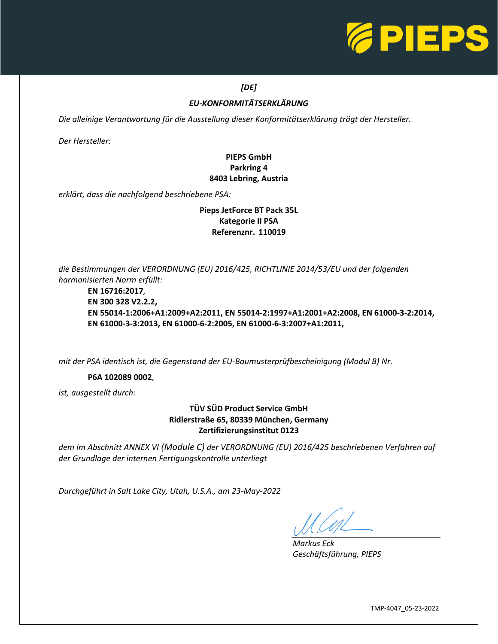

## *[DE]*

## *EU-KONFORMITÄTSERKLÄRUNG*

*Die alleinige Verantwortung für die Ausstellung dieser Konformitätserklärung trägt der Hersteller.* 

*Der Hersteller:*

## **PIEPS GmbH Parkring 4 8403 Lebring, Austria**

*erklärt, dass die nachfolgend beschriebene PSA:*

### **Pieps JetForce BT Pack 35L Kategorie II PSA Referenznr. 110019**

*die Bestimmungen der VERORDNUNG (EU) 2016/425, RICHTLINIE 2014/53/EU und der folgenden harmonisierten Norm erfüllt:*

**EN 16716:2017***,* **EN 300 328 V2.2.2, EN 55014-1:2006+A1:2009+A2:2011, EN 55014-2:1997+A1:2001+A2:2008, EN 61000-3-2:2014, EN 61000-3-3:2013, EN 61000-6-2:2005, EN 61000-6-3:2007+A1:2011,**

*mit der PSA identisch ist, die Gegenstand der EU-Baumusterprüfbescheinigung (Modul B) Nr.*

### **P6A 102089 0002**,

*ist, ausgestellt durch:*

### **TÜV SÜD Product Service GmbH Ridlerstraße 65, 80339 München, Germany Zertifizierungsinstitut 0123**

*dem im Abschnitt ANNEX VI (Module C) der VERORDNUNG (EU) 2016/425 beschriebenen Verfahren auf der Grundlage der internen Fertigungskontrolle unterliegt*

*Durchgeführt in Salt Lake City, Utah, U.S.A., am 23-May-2022*

L

*Markus Eck Geschäftsführung, PIEPS*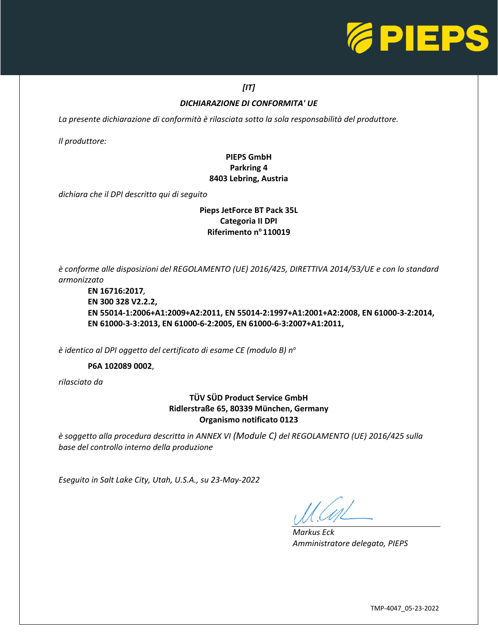

## *[IT]*

### *DICHIARAZIONE DI CONFORMITA' UE*

*La presente dichiarazione di conformità è rilasciata sotto la sola responsabilità del produttore.* 

*Il produttore:*

## **PIEPS GmbH Parkring 4 8403 Lebring, Austria**

*dichiara che il DPI descritto qui di seguito*

### **Pieps JetForce BT Pack 35L Categoria II DPI Riferimento n<sup>o</sup>110019**

*è conforme alle disposizioni del REGOLAMENTO (UE) 2016/425, DIRETTIVA 2014/53/UE e con lo standard armonizzato*

**EN 16716:2017***,* **EN 300 328 V2.2.2, EN 55014-1:2006+A1:2009+A2:2011, EN 55014-2:1997+A1:2001+A2:2008, EN 61000-3-2:2014, EN 61000-3-3:2013, EN 61000-6-2:2005, EN 61000-6-3:2007+A1:2011,**

*è identico al DPI oggetto del certificato di esame CE (modulo B) n<sup>o</sup>*

**P6A 102089 0002**,

*rilasciato da*

## **TÜV SÜD Product Service GmbH Ridlerstraße 65, 80339 München, Germany Organismo notificato 0123**

*è soggetto alla procedura descritta in ANNEX VI (Module C) del REGOLAMENTO (UE) 2016/425 sulla base del controllo interno della produzione*

*Eseguito in Salt Lake City, Utah, U.S.A., su 23-May-2022*

L

*Markus Eck Amministratore delegato, PIEPS*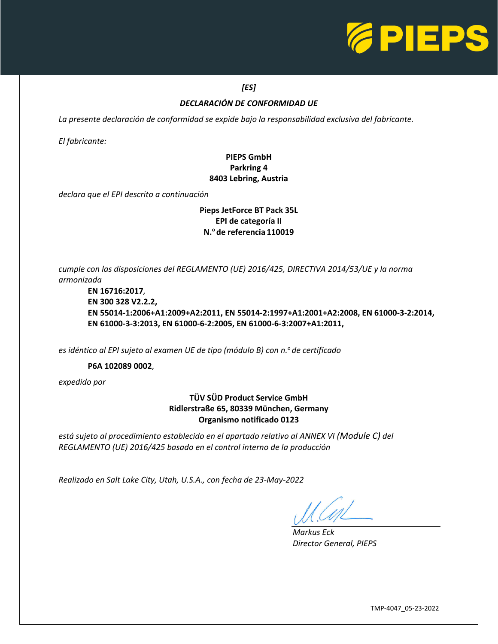

## *[ES]*

### *DECLARACIÓN DE CONFORMIDAD UE*

*La presente declaración de conformidad se expide bajo la responsabilidad exclusiva del fabricante.* 

*El fabricante:*

## **PIEPS GmbH Parkring 4 8403 Lebring, Austria**

*declara que el EPI descrito a continuación*

### **Pieps JetForce BT Pack 35L EPI de categoría II N.<sup>o</sup>de referencia 110019**

*cumple con las disposiciones del REGLAMENTO (UE) 2016/425, DIRECTIVA 2014/53/UE y la norma armonizada*

**EN 16716:2017***,* **EN 300 328 V2.2.2, EN 55014-1:2006+A1:2009+A2:2011, EN 55014-2:1997+A1:2001+A2:2008, EN 61000-3-2:2014, EN 61000-3-3:2013, EN 61000-6-2:2005, EN 61000-6-3:2007+A1:2011,**

*es idéntico al EPI sujeto al examen UE de tipo (módulo B) con n.<sup>o</sup>de certificado*

### **P6A 102089 0002**,

*expedido por*

## **TÜV SÜD Product Service GmbH Ridlerstraße 65, 80339 München, Germany Organismo notificado 0123**

*está sujeto al procedimiento establecido en el apartado relativo al ANNEX VI (Module C) del REGLAMENTO (UE) 2016/425 basado en el control interno de la producción*

*Realizado en Salt Lake City, Utah, U.S.A., con fecha de 23-May-2022*

L

*Markus Eck Director General, PIEPS*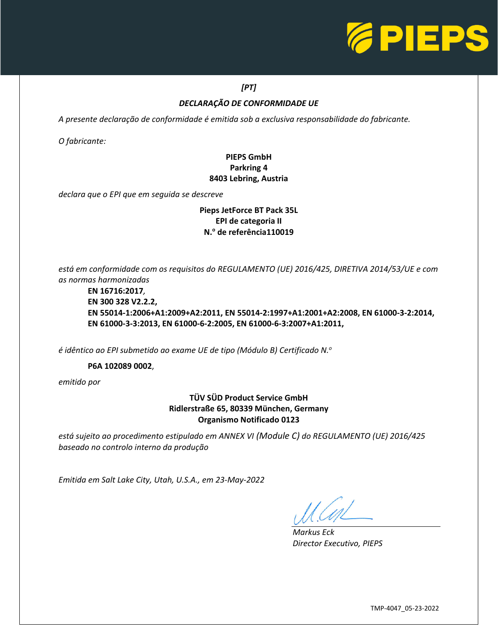

# *[PT]*

# *DECLARAÇÃO DE CONFORMIDADE UE*

*A presente declaração de conformidade é emitida sob a exclusiva responsabilidade do fabricante.* 

*O fabricante:*

## **PIEPS GmbH Parkring 4 8403 Lebring, Austria**

*declara que o EPI que em seguida se descreve*

### **Pieps JetForce BT Pack 35L EPI de categoria II N.<sup>o</sup> de referência110019**

*está em conformidade com os requisitos do REGULAMENTO (UE) 2016/425, DIRETIVA 2014/53/UE e com as normas harmonizadas*

**EN 16716:2017***,* **EN 300 328 V2.2.2, EN 55014-1:2006+A1:2009+A2:2011, EN 55014-2:1997+A1:2001+A2:2008, EN 61000-3-2:2014, EN 61000-3-3:2013, EN 61000-6-2:2005, EN 61000-6-3:2007+A1:2011,**

*é idêntico ao EPI submetido ao exame UE de tipo (Módulo B) Certificado N.<sup>o</sup>*

### **P6A 102089 0002**,

*emitido por*

## **TÜV SÜD Product Service GmbH Ridlerstraße 65, 80339 München, Germany Organismo Notificado 0123**

*está sujeito ao procedimento estipulado em ANNEX VI (Module C) do REGULAMENTO (UE) 2016/425 baseado no controlo interno da produção*

*Emitida em Salt Lake City, Utah, U.S.A., em 23-May-2022*

L

*Markus Eck Director Executivo, PIEPS*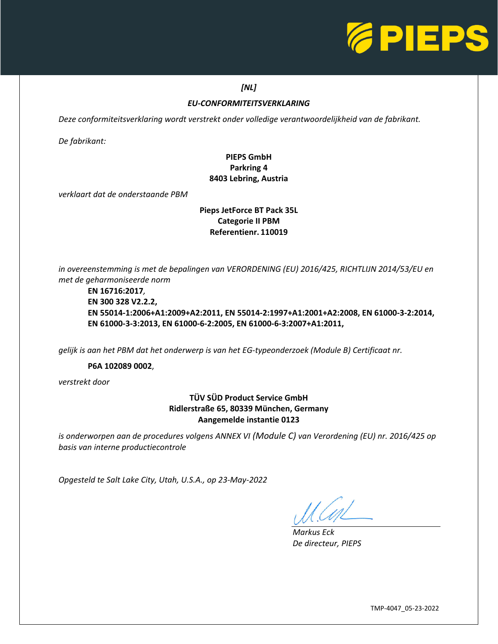

### *[NL]*

## *EU-CONFORMITEITSVERKLARING*

*Deze conformiteitsverklaring wordt verstrekt onder volledige verantwoordelijkheid van de fabrikant.* 

*De fabrikant:*

## **PIEPS GmbH Parkring 4 8403 Lebring, Austria**

*verklaart dat de onderstaande PBM*

### **Pieps JetForce BT Pack 35L Categorie II PBM Referentienr. 110019**

*in overeenstemming is met de bepalingen van VERORDENING (EU) 2016/425, RICHTLIJN 2014/53/EU en met de geharmoniseerde norm*

### **EN 16716:2017***,* **EN 300 328 V2.2.2, EN 55014-1:2006+A1:2009+A2:2011, EN 55014-2:1997+A1:2001+A2:2008, EN 61000-3-2:2014, EN 61000-3-3:2013, EN 61000-6-2:2005, EN 61000-6-3:2007+A1:2011,**

*gelijk is aan het PBM dat het onderwerp is van het EG-typeonderzoek (Module B) Certificaat nr.*

### **P6A 102089 0002**,

*verstrekt door*

## **TÜV SÜD Product Service GmbH Ridlerstraße 65, 80339 München, Germany Aangemelde instantie 0123**

*is onderworpen aan de procedures volgens ANNEX VI (Module C) van Verordening (EU) nr. 2016/425 op basis van interne productiecontrole*

*Opgesteld te Salt Lake City, Utah, U.S.A., op 23-May-2022*

L

*Markus Eck De directeur, PIEPS*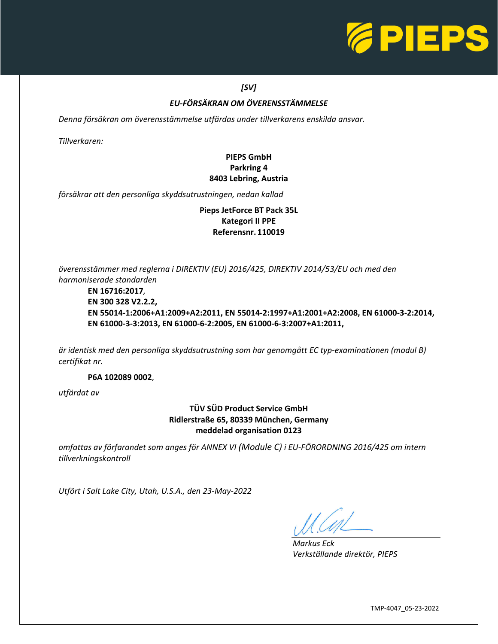

## *[SV]*

## *EU-FÖRSÄKRAN OM ÖVERENSSTÄMMELSE*

*Denna försäkran om överensstämmelse utfärdas under tillverkarens enskilda ansvar.* 

*Tillverkaren:*

## **PIEPS GmbH Parkring 4 8403 Lebring, Austria**

*försäkrar att den personliga skyddsutrustningen, nedan kallad*

**Pieps JetForce BT Pack 35L Kategori II PPE Referensnr. 110019**

*överensstämmer med reglerna i DIREKTIV (EU) 2016/425, DIREKTIV 2014/53/EU och med den harmoniserade standarden*

**EN 16716:2017***,* **EN 300 328 V2.2.2, EN 55014-1:2006+A1:2009+A2:2011, EN 55014-2:1997+A1:2001+A2:2008, EN 61000-3-2:2014, EN 61000-3-3:2013, EN 61000-6-2:2005, EN 61000-6-3:2007+A1:2011,**

*är identisk med den personliga skyddsutrustning som har genomgått EC typ-examinationen (modul B) certifikat nr.*

**P6A 102089 0002**,

*utfärdat av*

**TÜV SÜD Product Service GmbH Ridlerstraße 65, 80339 München, Germany meddelad organisation 0123**

*omfattas av förfarandet som anges för ANNEX VI (Module C) i EU-FÖRORDNING 2016/425 om intern tillverkningskontroll*

*Utfört i Salt Lake City, Utah, U.S.A., den 23-May-2022*

L

*Markus Eck Verkställande direktör, PIEPS*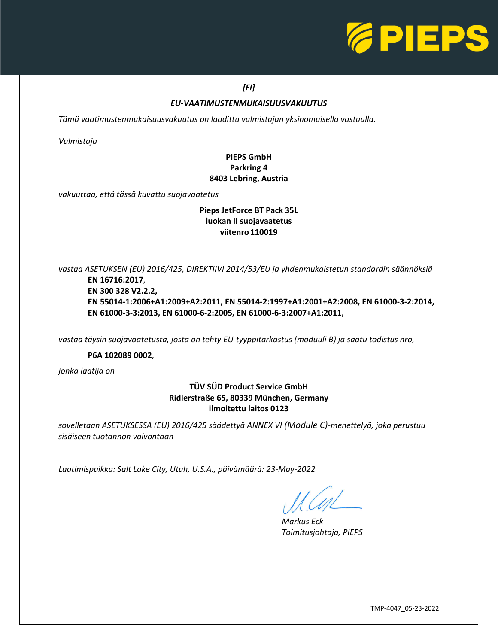

### *[FI]*

### *EU-VAATIMUSTENMUKAISUUSVAKUUTUS*

*Tämä vaatimustenmukaisuusvakuutus on laadittu valmistajan yksinomaisella vastuulla.* 

*Valmistaja*

## **PIEPS GmbH Parkring 4 8403 Lebring, Austria**

*vakuuttaa, että tässä kuvattu suojavaatetus*

### **Pieps JetForce BT Pack 35L luokan II suojavaatetus viitenro 110019**

*vastaa ASETUKSEN (EU) 2016/425, DIREKTIIVI 2014/53/EU ja yhdenmukaistetun standardin säännöksiä*

**EN 16716:2017***,* **EN 300 328 V2.2.2, EN 55014-1:2006+A1:2009+A2:2011, EN 55014-2:1997+A1:2001+A2:2008, EN 61000-3-2:2014, EN 61000-3-3:2013, EN 61000-6-2:2005, EN 61000-6-3:2007+A1:2011,**

*vastaa täysin suojavaatetusta, josta on tehty EU-tyyppitarkastus (moduuli B) ja saatu todistus nro,*

### **P6A 102089 0002**,

*jonka laatija on*

## **TÜV SÜD Product Service GmbH Ridlerstraße 65, 80339 München, Germany ilmoitettu laitos 0123**

*sovelletaan ASETUKSESSA (EU) 2016/425 säädettyä ANNEX VI (Module C)-menettelyä, joka perustuu sisäiseen tuotannon valvontaan*

*Laatimispaikka: Salt Lake City, Utah, U.S.A., päivämäärä: 23-May-2022*

 $\overline{\phantom{0}}$ 

*Markus Eck Toimitusjohtaja, PIEPS*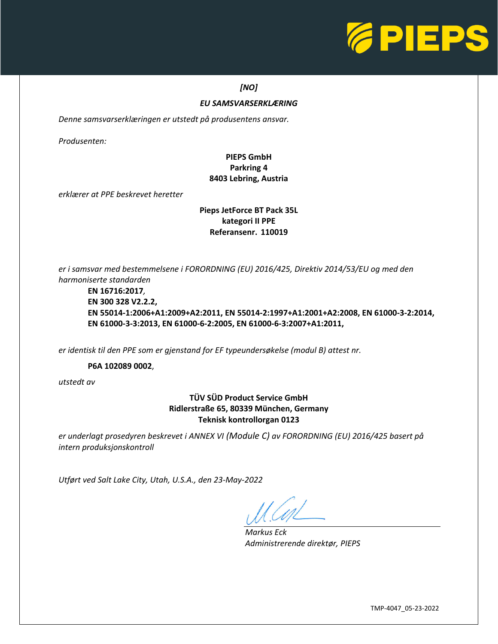

### *[NO]*

### *EU SAMSVARSERKLÆRING*

*Denne samsvarserklæringen er utstedt på produsentens ansvar.* 

*Produsenten:*

## **PIEPS GmbH Parkring 4 8403 Lebring, Austria**

*erklærer at PPE beskrevet heretter*

### **Pieps JetForce BT Pack 35L kategori II PPE Referansenr. 110019**

*er i samsvar med bestemmelsene i FORORDNING (EU) 2016/425, Direktiv 2014/53/EU og med den harmoniserte standarden*

**EN 16716:2017***,* **EN 300 328 V2.2.2, EN 55014-1:2006+A1:2009+A2:2011, EN 55014-2:1997+A1:2001+A2:2008, EN 61000-3-2:2014, EN 61000-3-3:2013, EN 61000-6-2:2005, EN 61000-6-3:2007+A1:2011,**

*er identisk til den PPE som er gjenstand for EF typeundersøkelse (modul B) attest nr.*

**P6A 102089 0002**,

*utstedt av*

**TÜV SÜD Product Service GmbH Ridlerstraße 65, 80339 München, Germany Teknisk kontrollorgan 0123**

*er underlagt prosedyren beskrevet i ANNEX VI (Module C) av FORORDNING (EU) 2016/425 basert på intern produksjonskontroll*

*Utført ved Salt Lake City, Utah, U.S.A., den 23-May-2022*

L

*Markus Eck Administrerende direktør, PIEPS*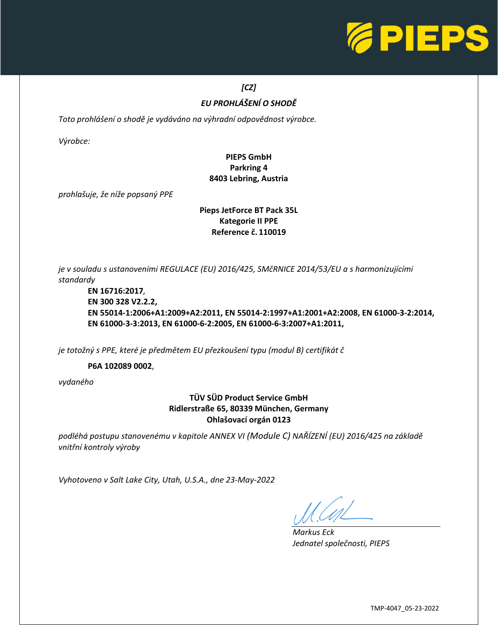

# *[CZ]*

# *EU PROHLÁŠENÍ O SHODĚ*

*Toto prohlášení o shodě je vydáváno na výhradní odpovědnost výrobce.* 

*Výrobce:*

## **PIEPS GmbH Parkring 4 8403 Lebring, Austria**

*prohlašuje, že níže popsaný PPE*

### **Pieps JetForce BT Pack 35L Kategorie II PPE Reference č. 110019**

*je v souladu s ustanoveními REGULACE (EU) 2016/425, SMčRNICE 2014/53/EU a s harmonizujícími standardy*

**EN 16716:2017***,* **EN 300 328 V2.2.2, EN 55014-1:2006+A1:2009+A2:2011, EN 55014-2:1997+A1:2001+A2:2008, EN 61000-3-2:2014, EN 61000-3-3:2013, EN 61000-6-2:2005, EN 61000-6-3:2007+A1:2011,**

*je totožný s PPE, které je předmětem EU přezkoušení typu (modul B) certifikát č*

**P6A 102089 0002**,

*vydaného*

## **TÜV SÜD Product Service GmbH Ridlerstraße 65, 80339 München, Germany Ohlašovací orgán 0123**

*podléhá postupu stanovenému v kapitole ANNEX VI (Module C) NAŘÍZENÍ (EU) 2016/425 na základě vnitřní kontroly výroby*

*Vyhotoveno v Salt Lake City, Utah, U.S.A., dne 23-May-2022*

L

*Markus Eck Jednatel společnosti, PIEPS*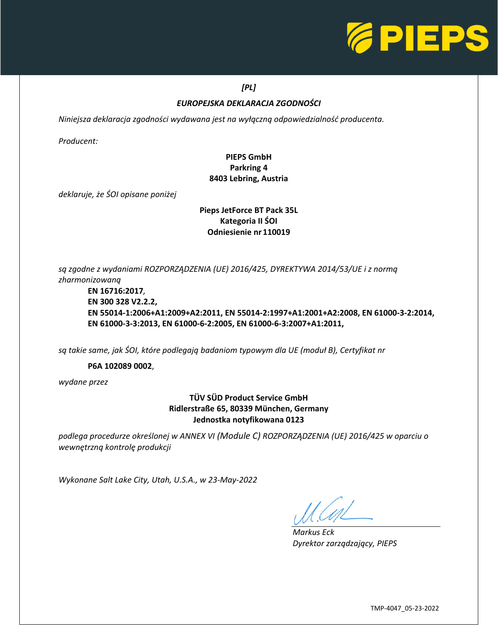

## *[PL]*

## *EUROPEJSKA DEKLARACJA ZGODNOŚCI*

*Niniejsza deklaracja zgodności wydawana jest na wyłączną odpowiedzialność producenta.* 

*Producent:*

## **PIEPS GmbH Parkring 4 8403 Lebring, Austria**

*deklaruje, że ŚOI opisane poniżej*

### **Pieps JetForce BT Pack 35L Kategoria II ŚOI Odniesienie nr 110019**

*są zgodne z wydaniami ROZPORZĄDZENIA (UE) 2016/425, DYREKTYWA 2014/53/UE i z normą zharmonizowaną*

**EN 16716:2017***,* **EN 300 328 V2.2.2, EN 55014-1:2006+A1:2009+A2:2011, EN 55014-2:1997+A1:2001+A2:2008, EN 61000-3-2:2014, EN 61000-3-3:2013, EN 61000-6-2:2005, EN 61000-6-3:2007+A1:2011,**

*są takie same, jak ŚOI, które podlegają badaniom typowym dla UE (moduł B), Certyfikat nr*

**P6A 102089 0002**,

*wydane przez*

## **TÜV SÜD Product Service GmbH Ridlerstraße 65, 80339 München, Germany Jednostka notyfikowana 0123**

*podlega procedurze określonej w ANNEX VI (Module C) ROZPORZĄDZENIA (UE) 2016/425 w oparciu o wewnętrzną kontrolę produkcji*

*Wykonane Salt Lake City, Utah, U.S.A., w 23-May-2022*

L

*Markus Eck Dyrektor zarządzający, PIEPS*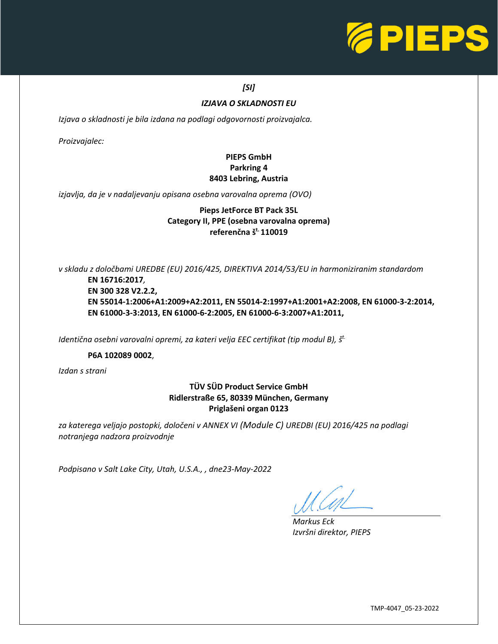

## *[SI]*

### *IZJAVA O SKLADNOSTI EU*

*Izjava o skladnosti je bila izdana na podlagi odgovornosti proizvajalca.* 

*Proizvajalec:*

## **PIEPS GmbH Parkring 4 8403 Lebring, Austria**

*izjavlja, da je v nadaljevanju opisana osebna varovalna oprema (OVO)*

### **Pieps JetForce BT Pack 35L Category II, PPE (osebna varovalna oprema) referenčna št. 110019**

*v skladu z določbami UREDBE (EU) 2016/425, DIREKTIVA 2014/53/EU in harmoniziranim standardom*

**EN 16716:2017***,* **EN 300 328 V2.2.2, EN 55014-1:2006+A1:2009+A2:2011, EN 55014-2:1997+A1:2001+A2:2008, EN 61000-3-2:2014, EN 61000-3-3:2013, EN 61000-6-2:2005, EN 61000-6-3:2007+A1:2011,**

*Identična osebni varovalni opremi, za kateri velja EEC certifikat (tip modul B), š t.*

### **P6A 102089 0002**,

*Izdan s strani*

## **TÜV SÜD Product Service GmbH Ridlerstraße 65, 80339 München, Germany Priglašeni organ 0123**

*za katerega veljajo postopki, določeni v ANNEX VI (Module C) UREDBI (EU) 2016/425 na podlagi notranjega nadzora proizvodnje*

*Podpisano v Salt Lake City, Utah, U.S.A., , dne23-May-2022*

*Markus Eck Izvršni direktor, PIEPS*

 $\overline{\phantom{0}}$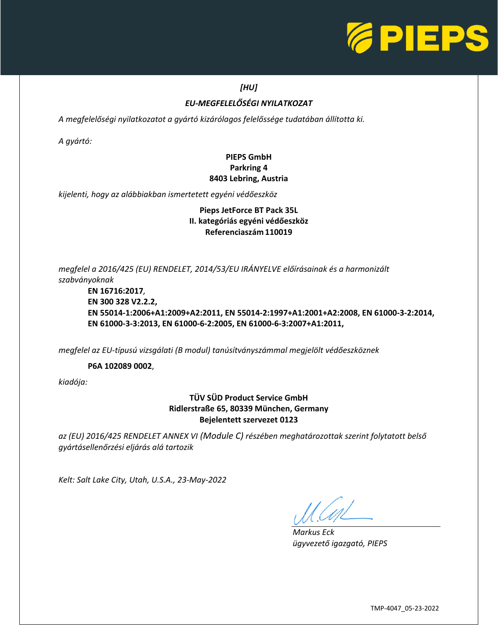

## *[HU]*

# *EU-MEGFELELŐSÉGI NYILATKOZAT*

*A megfelelőségi nyilatkozatot a gyártó kizárólagos felelőssége tudatában állította ki.* 

*A gyártó:*

## **PIEPS GmbH Parkring 4 8403 Lebring, Austria**

*kijelenti, hogy az alábbiakban ismertetett egyéni védőeszköz*

## **Pieps JetForce BT Pack 35L II. kategóriás egyéni védőeszköz Referenciaszám 110019**

*megfelel a 2016/425 (EU) RENDELET, 2014/53/EU IRÁNYELVE előírásainak és a harmonizált szabványoknak*

**EN 16716:2017***,* **EN 300 328 V2.2.2, EN 55014-1:2006+A1:2009+A2:2011, EN 55014-2:1997+A1:2001+A2:2008, EN 61000-3-2:2014, EN 61000-3-3:2013, EN 61000-6-2:2005, EN 61000-6-3:2007+A1:2011,**

*megfelel az EU-típusú vizsgálati (B modul) tanúsítványszámmal megjelölt védőeszköznek*

**P6A 102089 0002**,

*kiadója:*

## **TÜV SÜD Product Service GmbH Ridlerstraße 65, 80339 München, Germany Bejelentett szervezet 0123**

*az (EU) 2016/425 RENDELET ANNEX VI (Module C) részében meghatározottak szerint folytatott belső gyártásellenőrzési eljárás alá tartozik*

*Kelt: Salt Lake City, Utah, U.S.A., 23-May-2022*

L

*Markus Eck ügyvezető igazgató, PIEPS*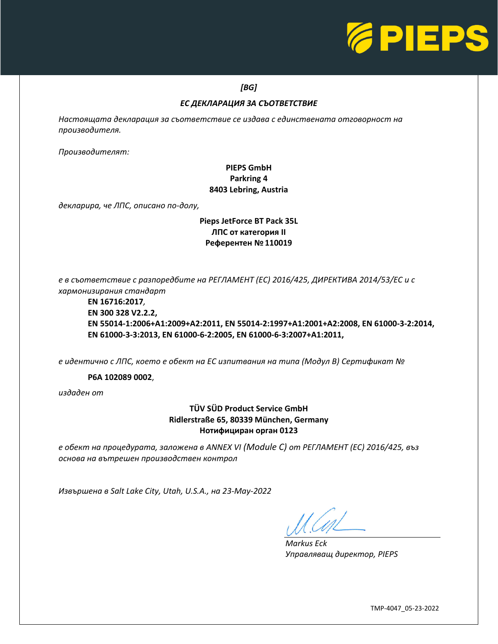

### *[BG]*

## *ЕС ДЕКЛАРАЦИЯ ЗА СЪОТВЕТСТВИЕ*

*Настоящата декларация за съответствие се издава с единствената отговорност на производителя.* 

*Производителят:*

## **PIEPS GmbH Parkring 4 8403 Lebring, Austria**

*декларира, че ЛПС, описано по-долу,*

## **Pieps JetForce BT Pack 35L ЛПС от категория II Референтен №110019**

*е в съответствие с разпоредбите на РЕГЛАМЕНТ (ЕС) 2016/425, ДИРЕКТИВА 2014/53/ЕС и с хармонизирания стандарт*

**EN 16716:2017***,* **EN 300 328 V2.2.2, EN 55014-1:2006+A1:2009+A2:2011, EN 55014-2:1997+A1:2001+A2:2008, EN 61000-3-2:2014, EN 61000-3-3:2013, EN 61000-6-2:2005, EN 61000-6-3:2007+A1:2011,**

*е идентично с ЛПС, което е обект на ЕС изпитвания на типа (Модул B) Сертификат №*

**P6A 102089 0002**,

*издаден от*

## **TÜV SÜD Product Service GmbH Ridlerstraße 65, 80339 München, Germany Нотифициран орган 0123**

*е обект на процедурата, заложена в ANNEX VI (Module C) от РЕГЛАМЕНТ (ЕС) 2016/425, въз основа на вътрешен производствен контрол*

*Извършена в Salt Lake City, Utah, U.S.A., на 23-May-2022*

L

*Markus Eck Управляващ директор, PIEPS*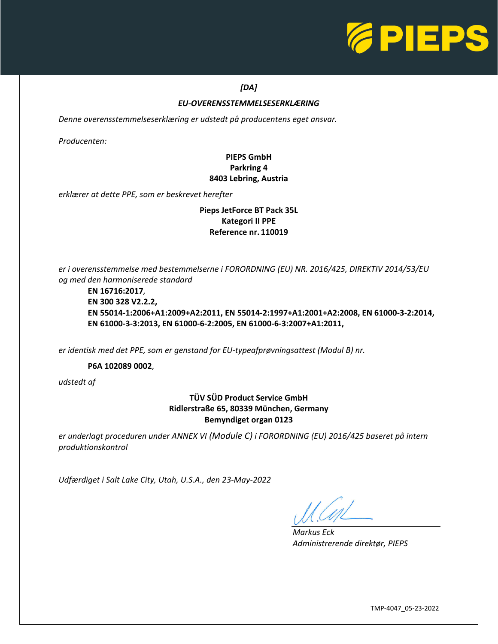

## *[DA]*

### *EU-OVERENSSTEMMELSESERKLÆRING*

*Denne overensstemmelseserklæring er udstedt på producentens eget ansvar.* 

*Producenten:*

## **PIEPS GmbH Parkring 4 8403 Lebring, Austria**

*erklærer at dette PPE, som er beskrevet herefter*

### **Pieps JetForce BT Pack 35L Kategori II PPE Reference nr. 110019**

*er i overensstemmelse med bestemmelserne i FORORDNING (EU) NR. 2016/425, DIREKTIV 2014/53/EU og med den harmoniserede standard*

### **EN 16716:2017***,* **EN 300 328 V2.2.2, EN 55014-1:2006+A1:2009+A2:2011, EN 55014-2:1997+A1:2001+A2:2008, EN 61000-3-2:2014, EN 61000-3-3:2013, EN 61000-6-2:2005, EN 61000-6-3:2007+A1:2011,**

*er identisk med det PPE, som er genstand for EU-typeafprøvningsattest (Modul B) nr.*

**P6A 102089 0002**,

*udstedt af*

### **TÜV SÜD Product Service GmbH Ridlerstraße 65, 80339 München, Germany Bemyndiget organ 0123**

*er underlagt proceduren under ANNEX VI (Module C) i FORORDNING (EU) 2016/425 baseret på intern produktionskontrol*

*Udfærdiget i Salt Lake City, Utah, U.S.A., den 23-May-2022*

L

*Markus Eck Administrerende direktør, PIEPS*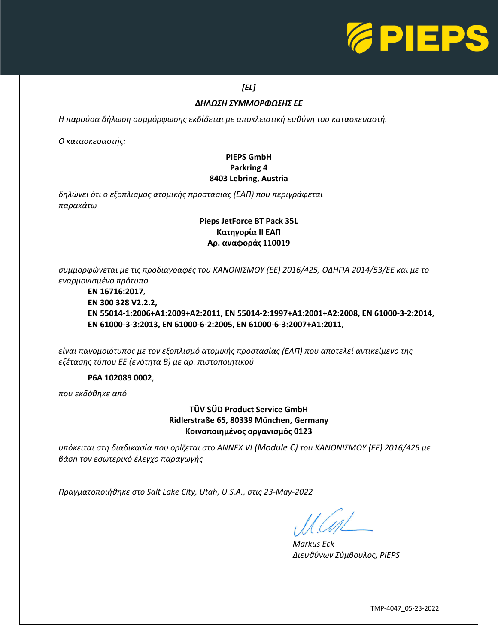

# *[EL]*

### *ΔΗΛΩΣΗ ΣΥΜΜΟΡΦΩΣΗΣ ΕΕ*

*Η παρούσα δήλωση συμμόρφωσης εκδίδεται με αποκλειστική ευθύνη του κατασκευαστή.* 

*Ο κατασκευαστής:*

## **PIEPS GmbH Parkring 4 8403 Lebring, Austria**

*δηλώνει ότι ο εξοπλισμός ατομικής προστασίας (ΕΑΠ) που περιγράφεται παρακάτω*

## **Pieps JetForce BT Pack 35L Κατηγορία II ΕΑΠ Αρ. αναφοράς 110019**

*συμμορφώνεται με τις προδιαγραφές του ΚΑΝΟΝΙΣΜΟΥ (ΕΕ) 2016/425, ΟΔΗΓΙΑ 2014/53/ΕΕ και με το εναρμονισμένο πρότυπο*

**EN 16716:2017***,* **EN 300 328 V2.2.2, EN 55014-1:2006+A1:2009+A2:2011, EN 55014-2:1997+A1:2001+A2:2008, EN 61000-3-2:2014, EN 61000-3-3:2013, EN 61000-6-2:2005, EN 61000-6-3:2007+A1:2011,**

*είναι πανομοιότυπος με τον εξοπλισμό ατομικής προστασίας (ΕΑΠ) που αποτελεί αντικείμενο της εξέτασης τύπου EΕ (ενότητα B) με αρ. πιστοποιητικού*

### **P6A 102089 0002**,

*που εκδόθηκε από*

## **TÜV SÜD Product Service GmbH Ridlerstraße 65, 80339 München, Germany Κοινοποιημένος οργανισμός 0123**

*υπόκειται στη διαδικασία που ορίζεται στο ANNEX VI (Module C) του ΚΑΝΟΝΙΣΜΟΥ (EΕ) 2016/425 με βάση τον εσωτερικό έλεγχο παραγωγής*

*Πραγματοποιήθηκε στο Salt Lake City, Utah, U.S.A., στις 23-May-2022*

L

*Markus Eck Διευθύνων Σύμβουλος, PIEPS*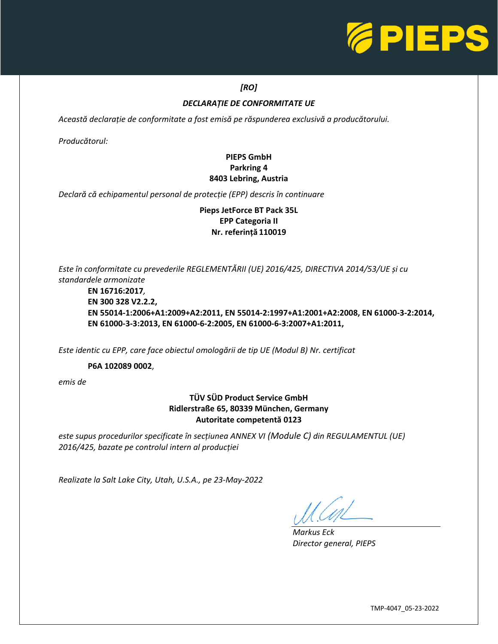

## *[RO]*

### *DECLARAȚIE DE CONFORMITATE UE*

*Această declarație de conformitate a fost emisă pe răspunderea exclusivă a producătorului.* 

*Producătorul:*

## **PIEPS GmbH Parkring 4 8403 Lebring, Austria**

*Declară că echipamentul personal de protecție (EPP) descris în continuare*

**Pieps JetForce BT Pack 35L EPP Categoria II Nr. referință 110019**

*Este în conformitate cu prevederile REGLEMENTĂRII (UE) 2016/425, DIRECTIVA 2014/53/UE și cu standardele armonizate*

**EN 16716:2017***,* **EN 300 328 V2.2.2, EN 55014-1:2006+A1:2009+A2:2011, EN 55014-2:1997+A1:2001+A2:2008, EN 61000-3-2:2014, EN 61000-3-3:2013, EN 61000-6-2:2005, EN 61000-6-3:2007+A1:2011,**

*Este identic cu EPP, care face obiectul omologării de tip UE (Modul B) Nr. certificat*

**P6A 102089 0002**,

*emis de*

## **TÜV SÜD Product Service GmbH Ridlerstraße 65, 80339 München, Germany Autoritate competentă 0123**

*este supus procedurilor specificate în secțiunea ANNEX VI (Module C) din REGULAMENTUL (UE) 2016/425, bazate pe controlul intern al producției*

*Realizate la Salt Lake City, Utah, U.S.A., pe 23-May-2022*

*Markus Eck Director general, PIEPS*

L